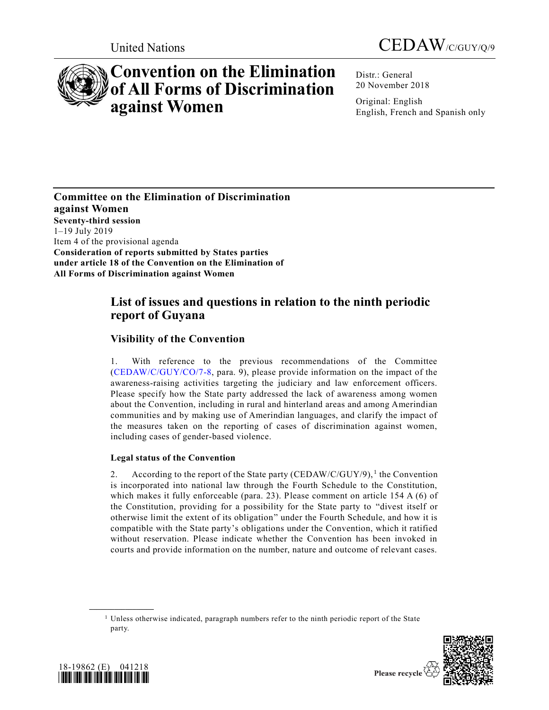



# **Convention on the Elimination of All Forms of Discrimination against Women**

Distr.: General 20 November 2018

Original: English English, French and Spanish only

**Committee on the Elimination of Discrimination against Women Seventy-third session** 1–19 July 2019 Item 4 of the provisional agenda **Consideration of reports submitted by States parties under article 18 of the Convention on the Elimination of All Forms of Discrimination against Women**

# **List of issues and questions in relation to the ninth periodic report of Guyana**

# **Visibility of the Convention**

1. With reference to the previous recommendations of the Committee [\(CEDAW/C/GUY/CO/7-8,](https://undocs.org/CEDAW/C/GUY/CO/7) para. 9), please provide information on the impact of the awareness-raising activities targeting the judiciary and law enforcement officers. Please specify how the State party addressed the lack of awareness among women about the Convention, including in rural and hinterland areas and among Amerindian communities and by making use of Amerindian languages, and clarify the impact of the measures taken on the reporting of cases of discrimination against women, including cases of gender-based violence.

# **Legal status of the Convention**

2. According to the report of the State party (CEDAW/C/GUY/9),<sup>1</sup> the Convention is incorporated into national law through the Fourth Schedule to the Constitution, which makes it fully enforceable (para. 23). Please comment on article 154 A (6) of the Constitution, providing for a possibility for the State party to "divest itself or otherwise limit the extent of its obligation" under the Fourth Schedule, and how it is compatible with the State party's obligations under the Convention, which it ratified without reservation. Please indicate whether the Convention has been invoked in courts and provide information on the number, nature and outcome of relevant cases.

<sup>&</sup>lt;sup>1</sup> Unless otherwise indicated, paragraph numbers refer to the ninth periodic report of the State party.





**\_\_\_\_\_\_\_\_\_\_\_\_\_\_\_\_\_\_**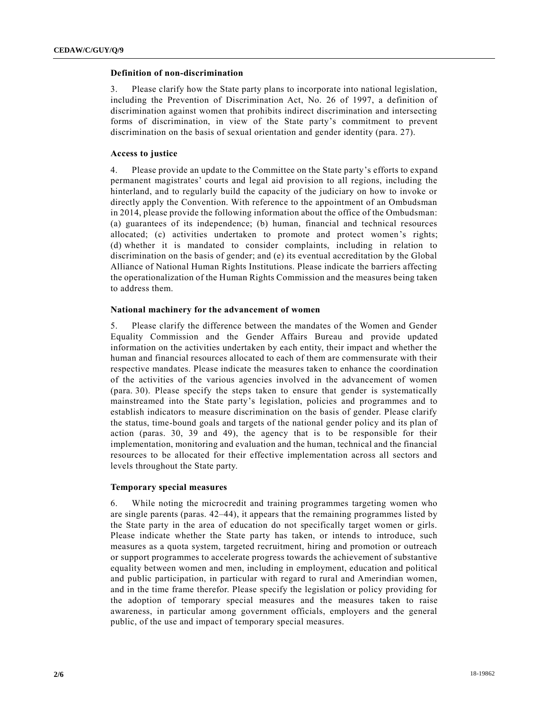#### **Definition of non-discrimination**

3. Please clarify how the State party plans to incorporate into national legislation, including the Prevention of Discrimination Act, No. 26 of 1997, a definition of discrimination against women that prohibits indirect discrimination and intersecting forms of discrimination, in view of the State party's commitment to prevent discrimination on the basis of sexual orientation and gender identity (para. 27).

# **Access to justice**

4. Please provide an update to the Committee on the State party's efforts to expand permanent magistrates' courts and legal aid provision to all regions, including the hinterland, and to regularly build the capacity of the judiciary on how to invoke or directly apply the Convention. With reference to the appointment of an Ombudsman in 2014, please provide the following information about the office of the Ombudsman: (a) guarantees of its independence; (b) human, financial and technical resources allocated; (c) activities undertaken to promote and protect women's rights; (d) whether it is mandated to consider complaints, including in relation to discrimination on the basis of gender; and (e) its eventual accreditation by the Global Alliance of National Human Rights Institutions. Please indicate the barriers affecting the operationalization of the Human Rights Commission and the measures being taken to address them.

#### **National machinery for the advancement of women**

5. Please clarify the difference between the mandates of the Women and Gender Equality Commission and the Gender Affairs Bureau and provide updated information on the activities undertaken by each entity, their impact and whether the human and financial resources allocated to each of them are commensurate with their respective mandates. Please indicate the measures taken to enhance the coordination of the activities of the various agencies involved in the advancement of women (para. 30). Please specify the steps taken to ensure that gender is systematically mainstreamed into the State party's legislation, policies and programmes and to establish indicators to measure discrimination on the basis of gender. Please clarify the status, time-bound goals and targets of the national gender policy and its plan of action (paras. 30, 39 and 49), the agency that is to be responsible for their implementation, monitoring and evaluation and the human, technical and the financial resources to be allocated for their effective implementation across all sectors and levels throughout the State party.

# **Temporary special measures**

6. While noting the microcredit and training programmes targeting women who are single parents (paras. 42–44), it appears that the remaining programmes listed by the State party in the area of education do not specifically target women or girls. Please indicate whether the State party has taken, or intends to introduce, such measures as a quota system, targeted recruitment, hiring and promotion or outreach or support programmes to accelerate progress towards the achievement of substantive equality between women and men, including in employment, education and political and public participation, in particular with regard to rural and Amerindian women, and in the time frame therefor. Please specify the legislation or policy providing for the adoption of temporary special measures and the measures taken to raise awareness, in particular among government officials, employers and the general public, of the use and impact of temporary special measures.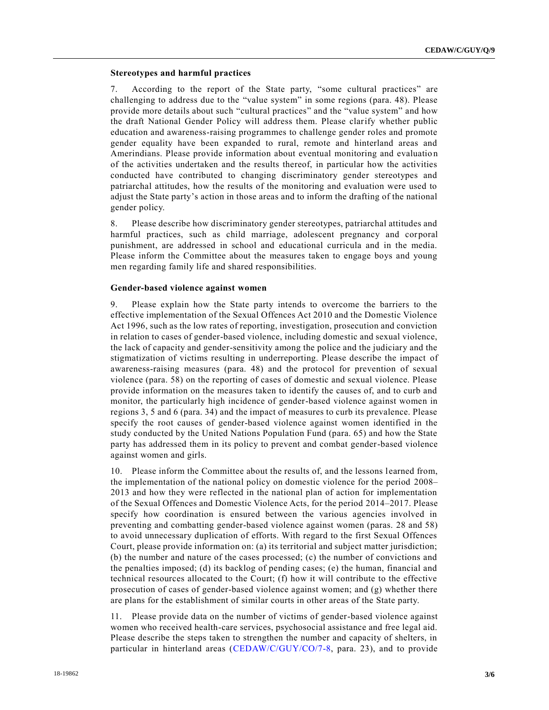# **Stereotypes and harmful practices**

7. According to the report of the State party, "some cultural practices" are challenging to address due to the "value system" in some regions (para. 48). Please provide more details about such "cultural practices" and the "value system" and how the draft National Gender Policy will address them. Please clarify whether public education and awareness-raising programmes to challenge gender roles and promote gender equality have been expanded to rural, remote and hinterland areas and Amerindians. Please provide information about eventual monitoring and evaluatio n of the activities undertaken and the results thereof, in particular how the activities conducted have contributed to changing discriminatory gender stereotypes and patriarchal attitudes, how the results of the monitoring and evaluation were used to adjust the State party's action in those areas and to inform the drafting of the national gender policy.

8. Please describe how discriminatory gender stereotypes, patriarchal attitudes and harmful practices, such as child marriage, adolescent pregnancy and corporal punishment, are addressed in school and educational curricula and in the media. Please inform the Committee about the measures taken to engage boys and young men regarding family life and shared responsibilities.

#### **Gender-based violence against women**

9. Please explain how the State party intends to overcome the barriers to the effective implementation of the Sexual Offences Act 2010 and the Domestic Violence Act 1996, such as the low rates of reporting, investigation, prosecution and conviction in relation to cases of gender-based violence, including domestic and sexual violence, the lack of capacity and gender-sensitivity among the police and the judiciary and the stigmatization of victims resulting in underreporting. Please describe the impact of awareness-raising measures (para. 48) and the protocol for prevention of sexual violence (para. 58) on the reporting of cases of domestic and sexual violence. Please provide information on the measures taken to identify the causes of, and to curb and monitor, the particularly high incidence of gender-based violence against women in regions 3, 5 and 6 (para. 34) and the impact of measures to curb its prevalence. Please specify the root causes of gender-based violence against women identified in the study conducted by the United Nations Population Fund (para. 65) and how the State party has addressed them in its policy to prevent and combat gender-based violence against women and girls.

10. Please inform the Committee about the results of, and the lessons learned from, the implementation of the national policy on domestic violence for the period 2008– 2013 and how they were reflected in the national plan of action for implementation of the Sexual Offences and Domestic Violence Acts, for the period 2014–2017. Please specify how coordination is ensured between the various agencies involved in preventing and combatting gender-based violence against women (paras. 28 and 58) to avoid unnecessary duplication of efforts. With regard to the first Sexual Offences Court, please provide information on: (a) its territorial and subject matter jurisdiction; (b) the number and nature of the cases processed; (c) the number of convictions and the penalties imposed; (d) its backlog of pending cases; (e) the human, financial and technical resources allocated to the Court; (f) how it will contribute to the effective prosecution of cases of gender-based violence against women; and (g) whether there are plans for the establishment of similar courts in other areas of the State party.

11. Please provide data on the number of victims of gender-based violence against women who received health-care services, psychosocial assistance and free legal aid. Please describe the steps taken to strengthen the number and capacity of shelters, in particular in hinterland areas [\(CEDAW/C/GUY/CO/7-8,](https://undocs.org/CEDAW/C/GUY/CO/7) para. 23), and to provide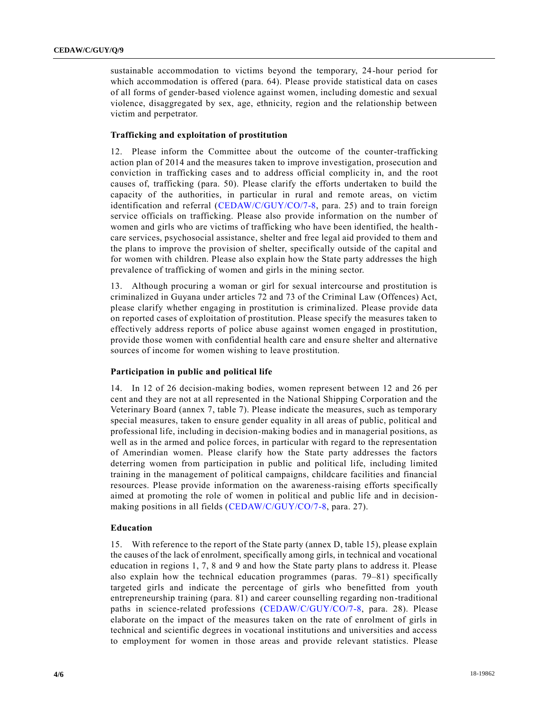sustainable accommodation to victims beyond the temporary, 24-hour period for which accommodation is offered (para. 64). Please provide statistical data on cases of all forms of gender-based violence against women, including domestic and sexual violence, disaggregated by sex, age, ethnicity, region and the relationship between victim and perpetrator.

# **Trafficking and exploitation of prostitution**

12. Please inform the Committee about the outcome of the counter-trafficking action plan of 2014 and the measures taken to improve investigation, prosecution and conviction in trafficking cases and to address official complicity in, and the root causes of, trafficking (para. 50). Please clarify the efforts undertaken to build the capacity of the authorities, in particular in rural and remote areas, on victim identification and referral [\(CEDAW/C/GUY/CO/7-8,](https://undocs.org/CEDAW/C/GUY/CO/7) para. 25) and to train foreign service officials on trafficking. Please also provide information on the number of women and girls who are victims of trafficking who have been identified, the health care services, psychosocial assistance, shelter and free legal aid provided to them and the plans to improve the provision of shelter, specifically outside of the capital and for women with children. Please also explain how the State party addresses the high prevalence of trafficking of women and girls in the mining sector.

13. Although procuring a woman or girl for sexual intercourse and prostitution is criminalized in Guyana under articles 72 and 73 of the Criminal Law (Offences) Act, please clarify whether engaging in prostitution is criminalized. Please provide data on reported cases of exploitation of prostitution. Please specify the measures taken to effectively address reports of police abuse against women engaged in prostitution, provide those women with confidential health care and ensure shelter and alternative sources of income for women wishing to leave prostitution.

### **Participation in public and political life**

14. In 12 of 26 decision-making bodies, women represent between 12 and 26 per cent and they are not at all represented in the National Shipping Corporation and the Veterinary Board (annex 7, table 7). Please indicate the measures, such as temporary special measures, taken to ensure gender equality in all areas of public, political and professional life, including in decision-making bodies and in managerial positions, as well as in the armed and police forces, in particular with regard to the representation of Amerindian women. Please clarify how the State party addresses the factors deterring women from participation in public and political life, including limited training in the management of political campaigns, childcare facilities and financial resources. Please provide information on the awareness-raising efforts specifically aimed at promoting the role of women in political and public life and in decisionmaking positions in all fields [\(CEDAW/C/GUY/CO/7-8,](https://undocs.org/CEDAW/C/GUY/CO/7) para. 27).

#### **Education**

15. With reference to the report of the State party (annex D, table 15), please explain the causes of the lack of enrolment, specifically among girls, in technical and vocational education in regions 1, 7, 8 and 9 and how the State party plans to address it. Please also explain how the technical education programmes (paras. 79–81) specifically targeted girls and indicate the percentage of girls who benefitted from youth entrepreneurship training (para. 81) and career counselling regarding non-traditional paths in science-related professions [\(CEDAW/C/GUY/CO/7-8,](https://undocs.org/CEDAW/C/GUY/CO/7) para. 28). Please elaborate on the impact of the measures taken on the rate of enrolment of girls in technical and scientific degrees in vocational institutions and universities and access to employment for women in those areas and provide relevant statistics. Please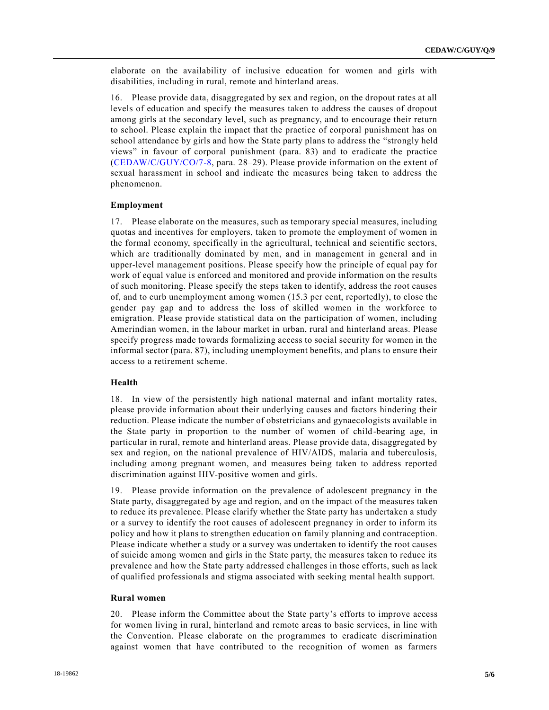elaborate on the availability of inclusive education for women and girls with disabilities, including in rural, remote and hinterland areas.

16. Please provide data, disaggregated by sex and region, on the dropout rates at all levels of education and specify the measures taken to address the causes of dropout among girls at the secondary level, such as pregnancy, and to encourage their return to school. Please explain the impact that the practice of corporal punishment has on school attendance by girls and how the State party plans to address the "strongly held views" in favour of corporal punishment (para. 83) and to eradicate the practice [\(CEDAW/C/GUY/CO/7-8,](https://undocs.org/CEDAW/C/GUY/CO/7) para. 28–29). Please provide information on the extent of sexual harassment in school and indicate the measures being taken to address the phenomenon.

#### **Employment**

17. Please elaborate on the measures, such as temporary special measures, including quotas and incentives for employers, taken to promote the employment of women in the formal economy, specifically in the agricultural, technical and scientific sectors, which are traditionally dominated by men, and in management in general and in upper-level management positions. Please specify how the principle of equal pay for work of equal value is enforced and monitored and provide information on the results of such monitoring. Please specify the steps taken to identify, address the root causes of, and to curb unemployment among women (15.3 per cent, reportedly), to close the gender pay gap and to address the loss of skilled women in the workforce to emigration. Please provide statistical data on the participation of women, including Amerindian women, in the labour market in urban, rural and hinterland areas. Please specify progress made towards formalizing access to social security for women in the informal sector (para. 87), including unemployment benefits, and plans to ensure their access to a retirement scheme.

# **Health**

18. In view of the persistently high national maternal and infant mortality rates, please provide information about their underlying causes and factors hindering their reduction. Please indicate the number of obstetricians and gynaecologists available in the State party in proportion to the number of women of child-bearing age, in particular in rural, remote and hinterland areas. Please provide data, disaggregated by sex and region, on the national prevalence of HIV/AIDS, malaria and tuberculosis, including among pregnant women, and measures being taken to address reported discrimination against HIV-positive women and girls.

19. Please provide information on the prevalence of adolescent pregnancy in the State party, disaggregated by age and region, and on the impact of the measures taken to reduce its prevalence. Please clarify whether the State party has undertaken a study or a survey to identify the root causes of adolescent pregnancy in order to inform its policy and how it plans to strengthen education on family planning and contraception. Please indicate whether a study or a survey was undertaken to identify the root causes of suicide among women and girls in the State party, the measures taken to reduce its prevalence and how the State party addressed challenges in those efforts, such as lack of qualified professionals and stigma associated with seeking mental health support.

#### **Rural women**

20. Please inform the Committee about the State party's efforts to improve access for women living in rural, hinterland and remote areas to basic services, in line with the Convention. Please elaborate on the programmes to eradicate discrimination against women that have contributed to the recognition of women as farmers